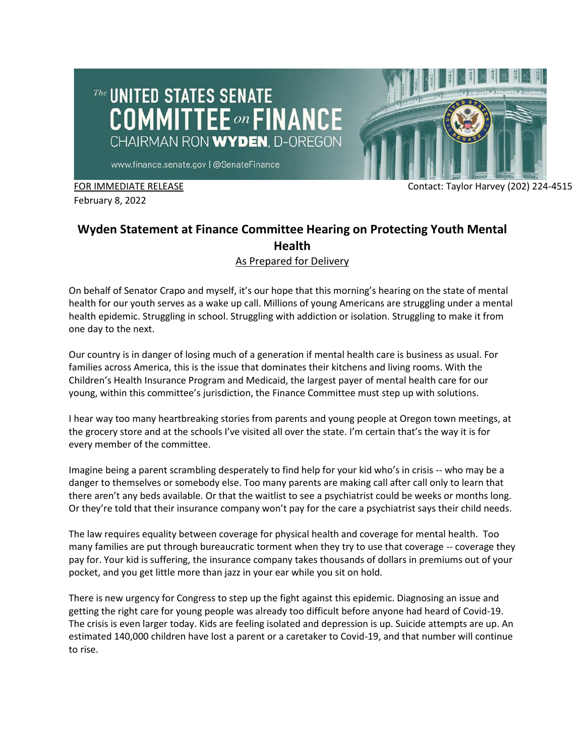# The UNITED STATES SENATE **COMMITTEE** on FINANCE CHAIRMAN RON WYDEN, D-OREGON



www.finance.senate.gov | @SenateFinance

February 8, 2022

#### FOR IMMEDIATE RELEASE Contact: Taylor Harvey (202) 224-4515

## **Wyden Statement at Finance Committee Hearing on Protecting Youth Mental Health**

### As Prepared for Delivery

On behalf of Senator Crapo and myself, it's our hope that this morning's hearing on the state of mental health for our youth serves as a wake up call. Millions of young Americans are struggling under a mental health epidemic. Struggling in school. Struggling with addiction or isolation. Struggling to make it from one day to the next.

Our country is in danger of losing much of a generation if mental health care is business as usual. For families across America, this is the issue that dominates their kitchens and living rooms. With the Children's Health Insurance Program and Medicaid, the largest payer of mental health care for our young, within this committee's jurisdiction, the Finance Committee must step up with solutions.

I hear way too many heartbreaking stories from parents and young people at Oregon town meetings, at the grocery store and at the schools I've visited all over the state. I'm certain that's the way it is for every member of the committee.

Imagine being a parent scrambling desperately to find help for your kid who's in crisis -- who may be a danger to themselves or somebody else. Too many parents are making call after call only to learn that there aren't any beds available. Or that the waitlist to see a psychiatrist could be weeks or months long. Or they're told that their insurance company won't pay for the care a psychiatrist says their child needs.

The law requires equality between coverage for physical health and coverage for mental health. Too many families are put through bureaucratic torment when they try to use that coverage -- coverage they pay for. Your kid is suffering, the insurance company takes thousands of dollars in premiums out of your pocket, and you get little more than jazz in your ear while you sit on hold.

There is new urgency for Congress to step up the fight against this epidemic. Diagnosing an issue and getting the right care for young people was already too difficult before anyone had heard of Covid-19. The crisis is even larger today. Kids are feeling isolated and depression is up. Suicide attempts are up. An estimated 140,000 children have lost a parent or a caretaker to Covid-19, and that number will continue to rise.